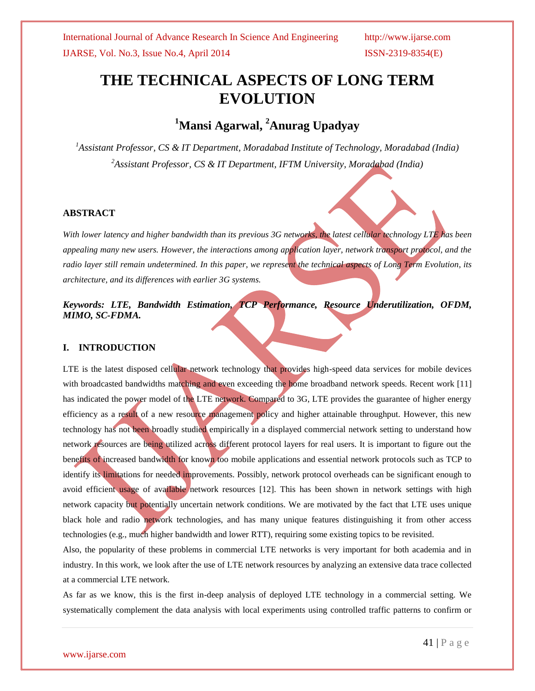# **THE TECHNICAL ASPECTS OF LONG TERM EVOLUTION**

# **<sup>1</sup>Mansi Agarwal, <sup>2</sup>Anurag Upadyay**

*<sup>1</sup>Assistant Professor, CS & IT Department, Moradabad Institute of Technology, Moradabad (India) <sup>2</sup>Assistant Professor, CS & IT Department, IFTM University, Moradabad (India)*

#### **ABSTRACT**

*With lower latency and higher bandwidth than its previous 3G networks, the latest cellular technology LTE has been appealing many new users. However, the interactions among application layer, network transport protocol, and the radio layer still remain undetermined. In this paper, we represent the technical aspects of Long Term Evolution, its architecture, and its differences with earlier 3G systems.*

*Keywords: LTE, Bandwidth Estimation, TCP Performance, Resource Underutilization, OFDM, MIMO, SC-FDMA.* 

### **I. INTRODUCTION**

LTE is the latest disposed cellular network technology that provides high-speed data services for mobile devices with broadcasted bandwidths matching and even exceeding the home broadband network speeds. Recent work [11] has indicated the power model of the LTE network. Compared to 3G, LTE provides the guarantee of higher energy efficiency as a result of a new resource management policy and higher attainable throughput. However, this new technology has not been broadly studied empirically in a displayed commercial network setting to understand how network resources are being utilized across different protocol layers for real users. It is important to figure out the benefits of increased bandwidth for known too mobile applications and essential network protocols such as TCP to identify its limitations for needed improvements. Possibly, network protocol overheads can be significant enough to avoid efficient usage of available network resources [12]. This has been shown in network settings with high network capacity but potentially uncertain network conditions. We are motivated by the fact that LTE uses unique black hole and radio network technologies, and has many unique features distinguishing it from other access technologies (e.g., much higher bandwidth and lower RTT), requiring some existing topics to be revisited.

Also, the popularity of these problems in commercial LTE networks is very important for both academia and in industry. In this work, we look after the use of LTE network resources by analyzing an extensive data trace collected at a commercial LTE network.

As far as we know, this is the first in-deep analysis of deployed LTE technology in a commercial setting. We systematically complement the data analysis with local experiments using controlled traffic patterns to confirm or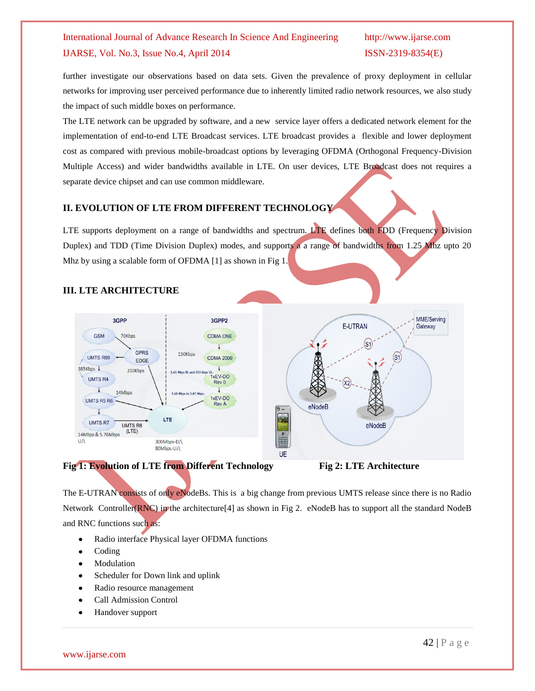further investigate our observations based on data sets. Given the prevalence of proxy deployment in cellular networks for improving user perceived performance due to inherently limited radio network resources, we also study the impact of such middle boxes on performance.

The LTE network can be upgraded by software, and a new service layer offers a dedicated network element for the implementation of end-to-end LTE Broadcast services. LTE broadcast provides a flexible and lower deployment cost as compared with previous mobile-broadcast options by leveraging OFDMA (Orthogonal Frequency-Division Multiple Access) and wider bandwidths available in LTE. On user devices, LTE Broadcast does not requires a separate device chipset and can use common middleware.

### **II. EVOLUTION OF LTE FROM DIFFERENT TECHNOLOGY**

LTE supports deployment on a range of bandwidths and spectrum. LTE defines both FDD (Frequency Division Duplex) and TDD (Time Division Duplex) modes, and supports a a range of bandwidths from 1.25 Mhz upto 20 Mhz by using a scalable form of OFDMA [1] as shown in Fig 1.



## **III. LTE ARCHITECTURE**



The E-UTRAN consists of only eNodeBs. This is a big change from previous UMTS release since there is no Radio Network Controller(RNC) in the architecture<sup>[4]</sup> as shown in Fig 2. eNodeB has to support all the standard NodeB and RNC functions such as:

- Radio interface Physical layer OFDMA functions
- Coding
- Modulation
- Scheduler for Down link and uplink
- Radio resource management
- Call Admission Control
- Handover support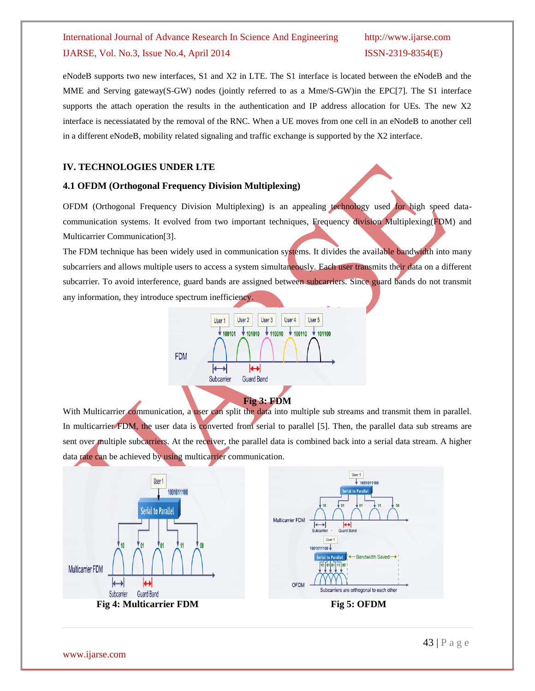eNodeB supports two new interfaces, S1 and X2 in LTE. The S1 interface is located between the eNodeB and the MME and Serving gateway(S-GW) nodes (jointly referred to as a Mme/S-GW)in the EPC[7]. The S1 interface supports the attach operation the results in the authentication and IP address allocation for UEs. The new X2 interface is necessiatated by the removal of the RNC. When a UE moves from one cell in an eNodeB to another cell in a different eNodeB, mobility related signaling and traffic exchange is supported by the X2 interface.

### **IV. TECHNOLOGIES UNDER LTE**

#### **4.1 OFDM (Orthogonal Frequency Division Multiplexing)**

OFDM (Orthogonal Frequency Division Multiplexing) is an appealing technology used for high speed datacommunication systems. It evolved from two important techniques, Frequency division Multiplexing(FDM) and Multicarrier Communication[3].

The FDM technique has been widely used in communication systems. It divides the available bandwidth into many subcarriers and allows multiple users to access a system simultaneously. Each user transmits their data on a different subcarrier. To avoid interference, guard bands are assigned between subcarriers. Since guard bands do not transmit any information, they introduce spectrum inefficiency.



With Multicarrier communication, a user can split the data into multiple sub streams and transmit them in parallel. In multicarrier FDM, the user data is converted from serial to parallel [5]. Then, the parallel data sub streams are sent over multiple subcarriers. At the receiver, the parallel data is combined back into a serial data stream. A higher data rate can be achieved by using multicarrier communication.

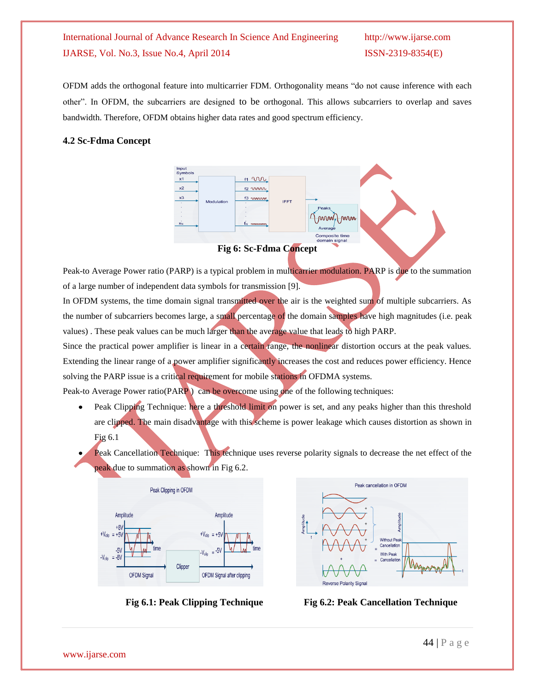OFDM adds the orthogonal feature into multicarrier FDM. Orthogonality means "do not cause inference with each other". In OFDM, the subcarriers are designed to be orthogonal. This allows subcarriers to overlap and saves bandwidth. Therefore, OFDM obtains higher data rates and good spectrum efficiency.

#### **4.2 Sc-Fdma Concept**



**Fig 6: Sc-Fdma Concept**

Peak-to Average Power ratio (PARP) is a typical problem in multicarrier modulation. PARP is due to the summation of a large number of independent data symbols for transmission [9].

In OFDM systems, the time domain signal transmitted over the air is the weighted sum of multiple subcarriers. As the number of subcarriers becomes large, a small percentage of the domain samples have high magnitudes (i.e. peak values) . These peak values can be much larger than the average value that leads to high PARP.

Since the practical power amplifier is linear in a certain range, the nonlinear distortion occurs at the peak values. Extending the linear range of a power amplifier significantly increases the cost and reduces power efficiency. Hence solving the PARP issue is a critical requirement for mobile stations in OFDMA systems.

Peak-to Average Power ratio(PARP) can be overcome using one of the following techniques:

- Peak Clipping Technique: here a threshold limit on power is set, and any peaks higher than this threshold are clipped. The main disadvantage with this scheme is power leakage which causes distortion as shown in Fig 6.1
- Peak Cancellation Technique: This technique uses reverse polarity signals to decrease the net effect of the peak due to summation as shown in Fig 6.2.





 **Fig 6.1: Peak Clipping Technique Fig 6.2: Peak Cancellation Technique**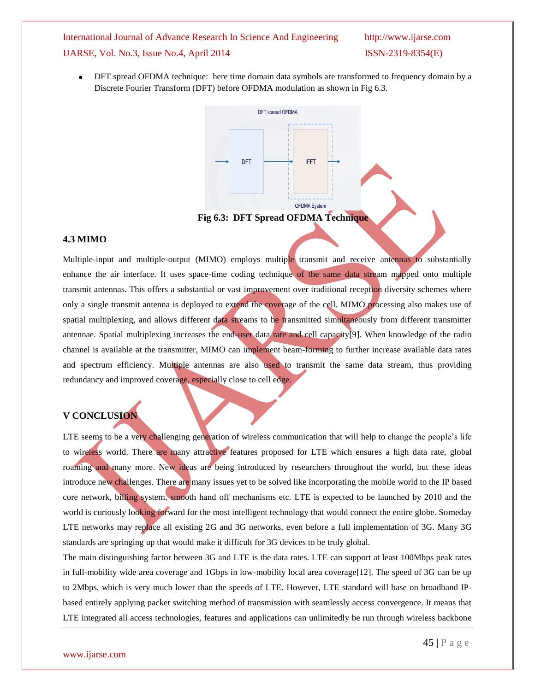#### International Journal of Advance Research In Science And Engineering http://www.ijarse.com

### IJARSE, Vol. No.3, Issue No.4, April 2014 ISSN-2319-8354(E)

DFT spread OFDMA technique: here time domain data symbols are transformed to frequency domain by a Discrete Fourier Transform (DFT) before OFDMA modulation as shown in Fig 6.3.



#### **4.3 MIMO**

Multiple-input and multiple-output (MIMO) employs multiple transmit and receive antennas to substantially enhance the air interface. It uses space-time coding technique of the same data stream mapped onto multiple transmit antennas. This offers a substantial or vast improvement over traditional reception diversity schemes where only a single transmit antenna is deployed to extend the coverage of the cell. MIMO processing also makes use of spatial multiplexing, and allows different data streams to be transmitted simultaneously from different transmitter antennae. Spatial multiplexing increases the end-user data rate and cell capacity[9]. When knowledge of the radio channel is available at the transmitter, MIMO can implement beam-forming to further increase available data rates and spectrum efficiency. Multiple antennas are also used to transmit the same data stream, thus providing redundancy and improved coverage, especially close to cell edge.

#### **V CONCLUSION**

LTE seems to be a very challenging generation of wireless communication that will help to change the people's life to wireless world. There are many attractive features proposed for LTE which ensures a high data rate, global roaming and many more. New ideas are being introduced by researchers throughout the world, but these ideas introduce new challenges. There are many issues yet to be solved like incorporating the mobile world to the IP based core network, billing system, smooth hand off mechanisms etc. LTE is expected to be launched by 2010 and the world is curiously looking forward for the most intelligent technology that would connect the entire globe. Someday LTE networks may replace all existing 2G and 3G networks, even before a full implementation of 3G. Many 3G standards are springing up that would make it difficult for 3G devices to be truly global.

The main distinguishing factor between 3G and LTE is the data rates. LTE can support at least 100Mbps peak rates in full-mobility wide area coverage and 1Gbps in low-mobility local area coverage[12]. The speed of 3G can be up to 2Mbps, which is very much lower than the speeds of LTE. However, LTE standard will base on broadband IPbased entirely applying packet switching method of transmission with seamlessly access convergence. It means that LTE integrated all access technologies, features and applications can unlimitedly be run through wireless backbone